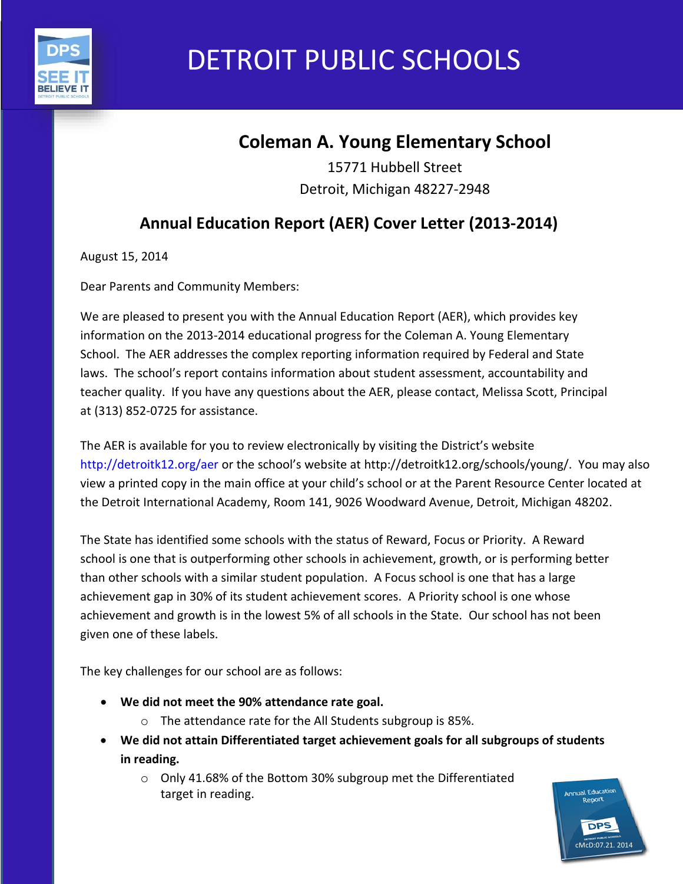

# DETROIT PUBLIC SCHOOLS

## **Coleman A. Young Elementary School**

15771 Hubbell Street Detroit, Michigan 48227-2948

## **Annual Education Report (AER) Cover Letter (2013-2014)**

August 15, 2014

Dear Parents and Community Members:

We are pleased to present you with the Annual Education Report (AER), which provides key information on the 2013-2014 educational progress for the Coleman A. Young Elementary School. The AER addresses the complex reporting information required by Federal and State laws. The school's report contains information about student assessment, accountability and teacher quality. If you have any questions about the AER, please contact, Melissa Scott, Principal at (313) 852-0725 for assistance.

The AER is available for you to review electronically by visiting the District's website http://detroitk12.org/aer or the school's website at http://detroitk12.org/schools/young/. You may also view a printed copy in the main office at your child's school or at the Parent Resource Center located at the Detroit International Academy, Room 141, 9026 Woodward Avenue, Detroit, Michigan 48202.

The State has identified some schools with the status of Reward, Focus or Priority. A Reward school is one that is outperforming other schools in achievement, growth, or is performing better than other schools with a similar student population. A Focus school is one that has a large achievement gap in 30% of its student achievement scores. A Priority school is one whose achievement and growth is in the lowest 5% of all schools in the State. Our school has not been given one of these labels.

The key challenges for our school are as follows:

- **We did not meet the 90% attendance rate goal.**
	- o The attendance rate for the All Students subgroup is 85%.
- **We did not attain Differentiated target achievement goals for all subgroups of students in reading.**
	- o Only 41.68% of the Bottom 30% subgroup met the Differentiated target in reading.

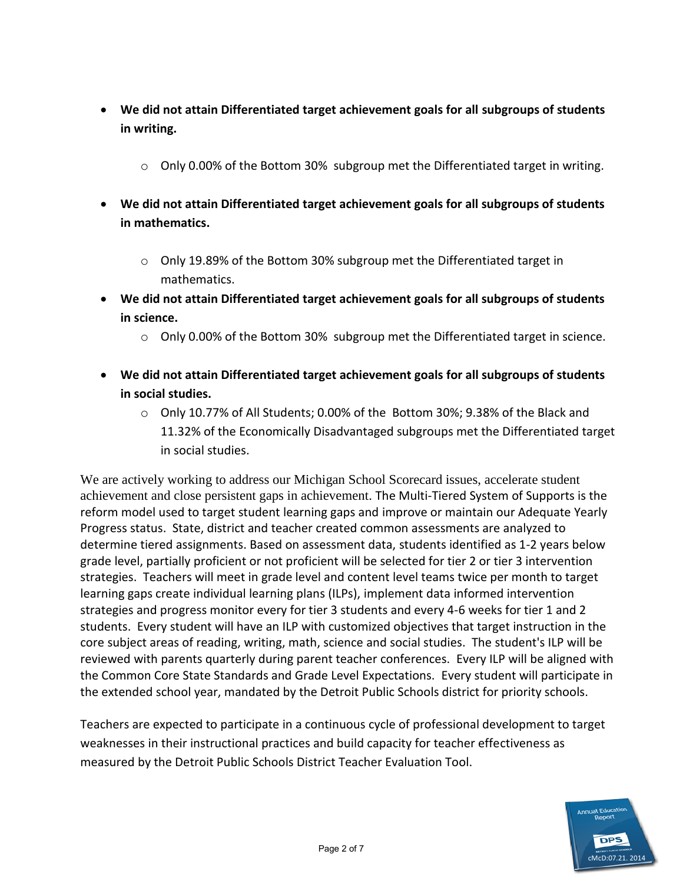- **We did not attain Differentiated target achievement goals for all subgroups of students in writing.** 
	- o Only 0.00% of the Bottom 30% subgroup met the Differentiated target in writing.
- **We did not attain Differentiated target achievement goals for all subgroups of students in mathematics.** 
	- $\circ$  Only 19.89% of the Bottom 30% subgroup met the Differentiated target in mathematics.
- **We did not attain Differentiated target achievement goals for all subgroups of students in science.** 
	- $\circ$  Only 0.00% of the Bottom 30% subgroup met the Differentiated target in science.
- **We did not attain Differentiated target achievement goals for all subgroups of students in social studies.** 
	- $\circ$  Only 10.77% of All Students; 0.00% of the Bottom 30%; 9.38% of the Black and 11.32% of the Economically Disadvantaged subgroups met the Differentiated target in social studies.

We are actively working to address our Michigan School Scorecard issues, accelerate student achievement and close persistent gaps in achievement. The Multi-Tiered System of Supports is the reform model used to target student learning gaps and improve or maintain our Adequate Yearly Progress status. State, district and teacher created common assessments are analyzed to determine tiered assignments. Based on assessment data, students identified as 1-2 years below grade level, partially proficient or not proficient will be selected for tier 2 or tier 3 intervention strategies. Teachers will meet in grade level and content level teams twice per month to target learning gaps create individual learning plans (ILPs), implement data informed intervention strategies and progress monitor every for tier 3 students and every 4-6 weeks for tier 1 and 2 students. Every student will have an ILP with customized objectives that target instruction in the core subject areas of reading, writing, math, science and social studies. The student's ILP will be reviewed with parents quarterly during parent teacher conferences. Every ILP will be aligned with the Common Core State Standards and Grade Level Expectations. Every student will participate in the extended school year, mandated by the Detroit Public Schools district for priority schools.

Teachers are expected to participate in a continuous cycle of professional development to target weaknesses in their instructional practices and build capacity for teacher effectiveness as measured by the Detroit Public Schools District Teacher Evaluation Tool.

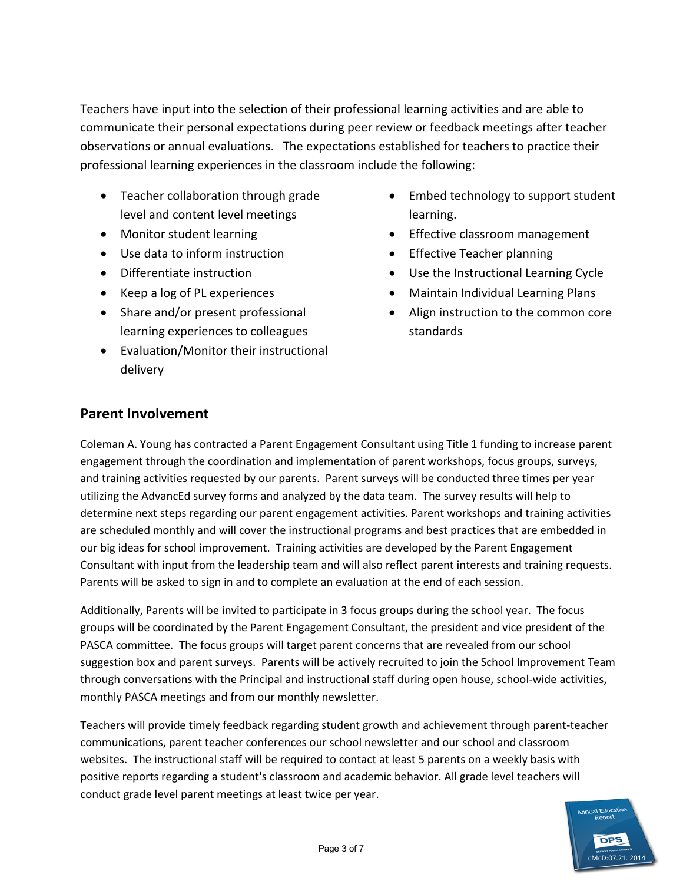Teachers have input into the selection of their professional learning activities and are able to communicate their personal expectations during peer review or feedback meetings after teacher observations or annual evaluations. The expectations established for teachers to practice their professional learning experiences in the classroom include the following:

- Teacher collaboration through grade level and content level meetings
- Monitor student learning
- Use data to inform instruction
- Differentiate instruction
- Keep a log of PL experiences
- Share and/or present professional learning experiences to colleagues
- Evaluation/Monitor their instructional delivery
- Embed technology to support student learning.
- **•** Effective classroom management
- Effective Teacher planning
- Use the Instructional Learning Cycle
- Maintain Individual Learning Plans
- Align instruction to the common core standards

#### **Parent Involvement**

Coleman A. Young has contracted a Parent Engagement Consultant using Title 1 funding to increase parent engagement through the coordination and implementation of parent workshops, focus groups, surveys, and training activities requested by our parents. Parent surveys will be conducted three times per year utilizing the AdvancEd survey forms and analyzed by the data team. The survey results will help to determine next steps regarding our parent engagement activities. Parent workshops and training activities are scheduled monthly and will cover the instructional programs and best practices that are embedded in our big ideas for school improvement. Training activities are developed by the Parent Engagement Consultant with input from the leadership team and will also reflect parent interests and training requests. Parents will be asked to sign in and to complete an evaluation at the end of each session.

Additionally, Parents will be invited to participate in 3 focus groups during the school year. The focus groups will be coordinated by the Parent Engagement Consultant, the president and vice president of the PASCA committee. The focus groups will target parent concerns that are revealed from our school suggestion box and parent surveys. Parents will be actively recruited to join the School Improvement Team through conversations with the Principal and instructional staff during open house, school-wide activities, monthly PASCA meetings and from our monthly newsletter.

Teachers will provide timely feedback regarding student growth and achievement through parent-teacher communications, parent teacher conferences our school newsletter and our school and classroom websites. The instructional staff will be required to contact at least 5 parents on a weekly basis with positive reports regarding a student's classroom and academic behavior. All grade level teachers will conduct grade level parent meetings at least twice per year.

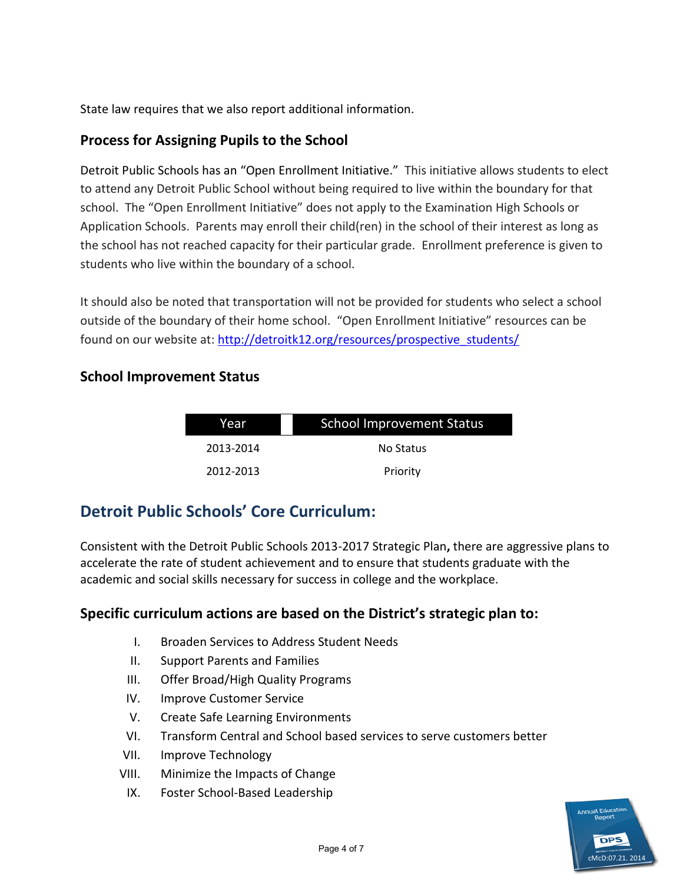State law requires that we also report additional information.

#### **Process for Assigning Pupils to the School**

Detroit Public Schools has an "Open Enrollment Initiative." This initiative allows students to elect to attend any Detroit Public School without being required to live within the boundary for that school. The "Open Enrollment Initiative" does not apply to the Examination High Schools or Application Schools. Parents may enroll their child(ren) in the school of their interest as long as the school has not reached capacity for their particular grade. Enrollment preference is given to students who live within the boundary of a school.

It should also be noted that transportation will not be provided for students who select a school outside of the boundary of their home school. "Open Enrollment Initiative" resources can be found on our website at: [http://detroitk12.org/resources/prospective\\_students/](http://detroitk12.org/resources/prospective_students/)

#### **School Improvement Status**

| Year      | <b>School Improvement Status</b> |  |
|-----------|----------------------------------|--|
| 2013-2014 | No Status                        |  |
| 2012-2013 | Priority                         |  |

### **Detroit Public Schools' Core Curriculum:**

Consistent with the Detroit Public Schools 2013-2017 Strategic Plan**,** there are aggressive plans to accelerate the rate of student achievement and to ensure that students graduate with the academic and social skills necessary for success in college and the workplace.

#### **Specific curriculum actions are based on the District's strategic plan to:**

- I. Broaden Services to Address Student Needs
- II. Support Parents and Families
- III. Offer Broad/High Quality Programs
- IV. Improve Customer Service
- V. Create Safe Learning Environments
- VI. Transform Central and School based services to serve customers better
- VII. Improve Technology
- VIII. Minimize the Impacts of Change
	- IX. Foster School-Based Leadership

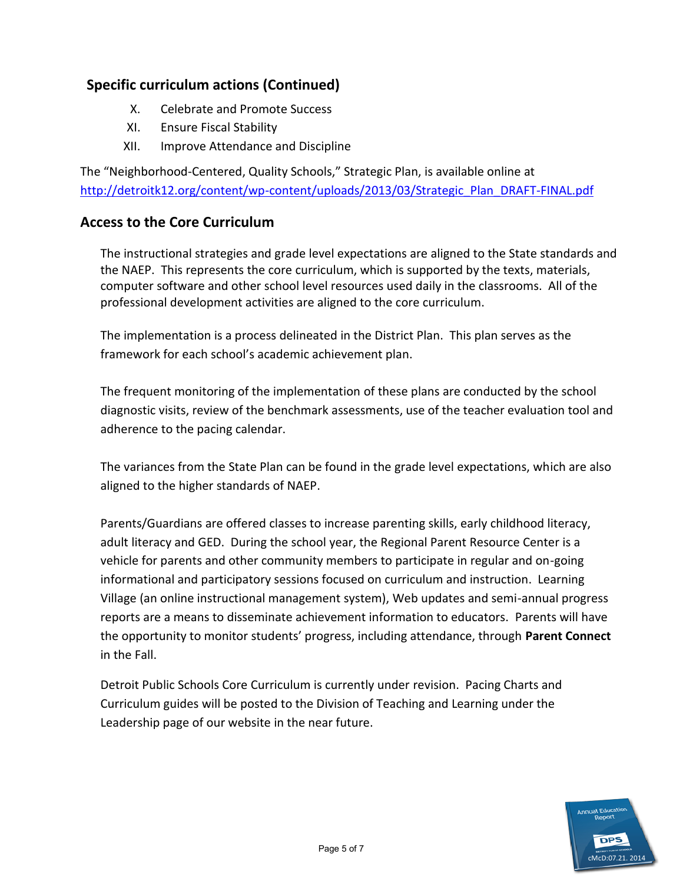#### **Specific curriculum actions (Continued)**

- X. Celebrate and Promote Success
- XI. Ensure Fiscal Stability
- XII. Improve Attendance and Discipline

The "Neighborhood-Centered, Quality Schools," Strategic Plan, is available online at [http://detroitk12.org/content/wp-content/uploads/2013/03/Strategic\\_Plan\\_DRAFT-FINAL.pdf](http://detroitk12.org/content/wp-content/uploads/2013/03/Strategic_Plan_DRAFT-FINAL.pdf)

#### **Access to the Core Curriculum**

The instructional strategies and grade level expectations are aligned to the State standards and the NAEP. This represents the core curriculum, which is supported by the texts, materials, computer software and other school level resources used daily in the classrooms. All of the professional development activities are aligned to the core curriculum.

The implementation is a process delineated in the District Plan. This plan serves as the framework for each school's academic achievement plan.

The frequent monitoring of the implementation of these plans are conducted by the school diagnostic visits, review of the benchmark assessments, use of the teacher evaluation tool and adherence to the pacing calendar.

The variances from the State Plan can be found in the grade level expectations, which are also aligned to the higher standards of NAEP.

Parents/Guardians are offered classes to increase parenting skills, early childhood literacy, adult literacy and GED. During the school year, the Regional Parent Resource Center is a vehicle for parents and other community members to participate in regular and on-going informational and participatory sessions focused on curriculum and instruction. Learning Village (an online instructional management system), Web updates and semi-annual progress reports are a means to disseminate achievement information to educators. Parents will have the opportunity to monitor students' progress, including attendance, through **Parent Connect**  in the Fall.

Detroit Public Schools Core Curriculum is currently under revision. Pacing Charts and Curriculum guides will be posted to the Division of Teaching and Learning under the Leadership page of our website in the near future.

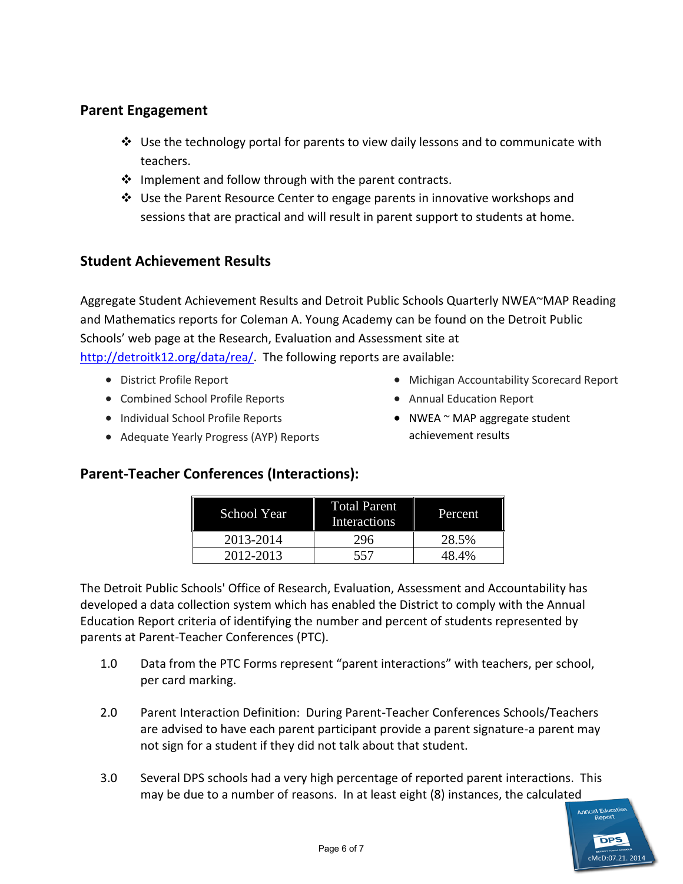#### **Parent Engagement**

- $\div$  Use the technology portal for parents to view daily lessons and to communicate with teachers.
- $\clubsuit$  Implement and follow through with the parent contracts.
- Use the Parent Resource Center to engage parents in innovative workshops and sessions that are practical and will result in parent support to students at home.

#### **Student Achievement Results**

Aggregate Student Achievement Results and Detroit Public Schools Quarterly NWEA~MAP Reading and Mathematics reports for Coleman A. Young Academy can be found on the Detroit Public Schools' web page at the Research, Evaluation and Assessment site at [http://detroitk12.org/data/rea/.](http://detroitk12.org/data/rea/) The following reports are available:

- District Profile Report
- Combined School Profile Reports
- Individual School Profile Reports
- Adequate Yearly Progress (AYP) Reports
- Michigan Accountability Scorecard Report
- Annual Education Report
- NWEA ~ MAP aggregate student achievement results

#### **Parent-Teacher Conferences (Interactions):**

| <b>School Year</b> | <b>Total Parent</b><br>Interactions | <b>Percent</b> |
|--------------------|-------------------------------------|----------------|
| 2013-2014          | 296                                 | 28.5%          |
| 2012-2013          | 557                                 | 48.4%          |

The Detroit Public Schools' Office of Research, Evaluation, Assessment and Accountability has developed a data collection system which has enabled the District to comply with the Annual Education Report criteria of identifying the number and percent of students represented by parents at Parent-Teacher Conferences (PTC).

- 1.0 Data from the PTC Forms represent "parent interactions" with teachers, per school, per card marking.
- 2.0 Parent Interaction Definition: During Parent-Teacher Conferences Schools/Teachers are advised to have each parent participant provide a parent signature-a parent may not sign for a student if they did not talk about that student.
- 3.0 Several DPS schools had a very high percentage of reported parent interactions. This may be due to a number of reasons. In at least eight (8) instances, the calculated